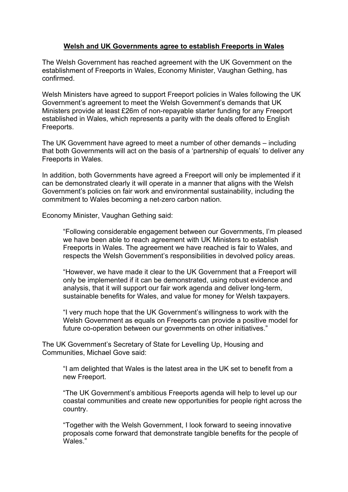## **Welsh and UK Governments agree to establish Freeports in Wales**

The Welsh Government has reached agreement with the UK Government on the establishment of Freeports in Wales, Economy Minister, Vaughan Gething, has confirmed.

Welsh Ministers have agreed to support Freeport policies in Wales following the UK Government's agreement to meet the Welsh Government's demands that UK Ministers provide at least £26m of non-repayable starter funding for any Freeport established in Wales, which represents a parity with the deals offered to English Freeports.

The UK Government have agreed to meet a number of other demands – including that both Governments will act on the basis of a 'partnership of equals' to deliver any Freeports in Wales.

In addition, both Governments have agreed a Freeport will only be implemented if it can be demonstrated clearly it will operate in a manner that aligns with the Welsh Government's policies on fair work and environmental sustainability, including the commitment to Wales becoming a net-zero carbon nation.

Economy Minister, Vaughan Gething said:

"Following considerable engagement between our Governments, I'm pleased we have been able to reach agreement with UK Ministers to establish Freeports in Wales. The agreement we have reached is fair to Wales, and respects the Welsh Government's responsibilities in devolved policy areas.

"However, we have made it clear to the UK Government that a Freeport will only be implemented if it can be demonstrated, using robust evidence and analysis, that it will support our fair work agenda and deliver long-term, sustainable benefits for Wales, and value for money for Welsh taxpayers.

"I very much hope that the UK Government's willingness to work with the Welsh Government as equals on Freeports can provide a positive model for future co-operation between our governments on other initiatives."

The UK Government's Secretary of State for Levelling Up, Housing and Communities, Michael Gove said:

"I am delighted that Wales is the latest area in the UK set to benefit from a new Freeport.

"The UK Government's ambitious Freeports agenda will help to level up our coastal communities and create new opportunities for people right across the country.

"Together with the Welsh Government, I look forward to seeing innovative proposals come forward that demonstrate tangible benefits for the people of Wales."